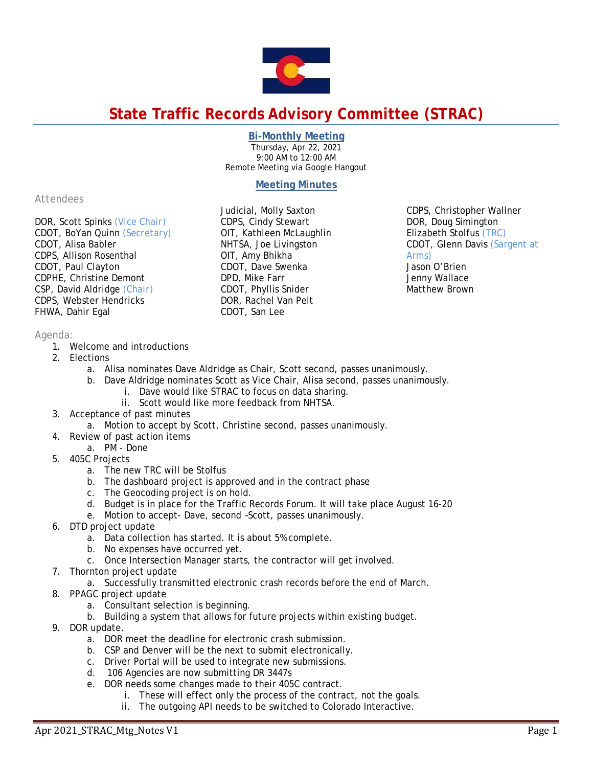

# **State Traffic Records Advisory Committee (STRAC)**

## **Bi-Monthly Meeting**

Thursday, Apr 22, 2021 9:00 AM to 12:00 AM Remote Meeting via Google Hangout

## **Meeting Minutes**

Judicial, Molly Saxton CDPS, Cindy Stewart OIT, Kathleen McLaughlin NHTSA, Joe Livingston OIT, Amy Bhikha CDOT, Dave Swenka DPD, Mike Farr CDOT, Phyllis Snider DOR, Rachel Van Pelt CDOT, San Lee

*Attendees*

DOR, Scott Spinks *(Vice Chair)* CDOT, BoYan Quinn *(Secretary)* CDOT, Alisa Babler CDPS, Allison Rosenthal CDOT, Paul Clayton CDPHE, Christine Demont CSP, David Aldridge *(Chair)* CDPS, Webster Hendricks FHWA, Dahir Egal

## *Agenda:*

- 1. Welcome and introductions
- 2. Elections
	- a. Alisa nominates Dave Aldridge as Chair, Scott second, passes unanimously.
	- b. Dave Aldridge nominates Scott as Vice Chair, Alisa second, passes unanimously.
		- i. Dave would like STRAC to focus on data sharing.
		- ii. Scott would like more feedback from NHTSA.
- 3. Acceptance of past minutes
	- a. Motion to accept by Scott, Christine second, passes unanimously.
- 4. Review of past action items
	- a. PM Done
- 5. 405C Projects
	- a. The new TRC will be Stolfus
	- b. The dashboard project is approved and in the contract phase
	- c. The Geocoding project is on hold.
	- d. Budget is in place for the Traffic Records Forum. It will take place August 16-20
	- e. Motion to accept- Dave, second –Scott, passes unanimously.
- 6. DTD project update
	- a. Data collection has started. It is about 5% complete.
	- b. No expenses have occurred yet.
	- c. Once Intersection Manager starts, the contractor will get involved.
- 7. Thornton project update
	- a. Successfully transmitted electronic crash records before the end of March.
- 8. PPAGC project update
	- a. Consultant selection is beginning.
	- b. Building a system that allows for future projects within existing budget.
- 9. DOR update.
	- a. DOR meet the deadline for electronic crash submission.
	- b. CSP and Denver will be the next to submit electronically.
	- c. Driver Portal will be used to integrate new submissions.
	- d. 106 Agencies are now submitting DR 3447s
	- e. DOR needs some changes made to their 405C contract.
		- i. These will effect only the process of the contract, not the goals.
		- ii. The outgoing API needs to be switched to Colorado Interactive.

CDPS, Christopher Wallner DOR, Doug Simington Elizabeth Stolfus *(TRC)*  CDOT, Glenn Davis (Sargent at Arms) Jason O'Brien Jenny Wallace Matthew Brown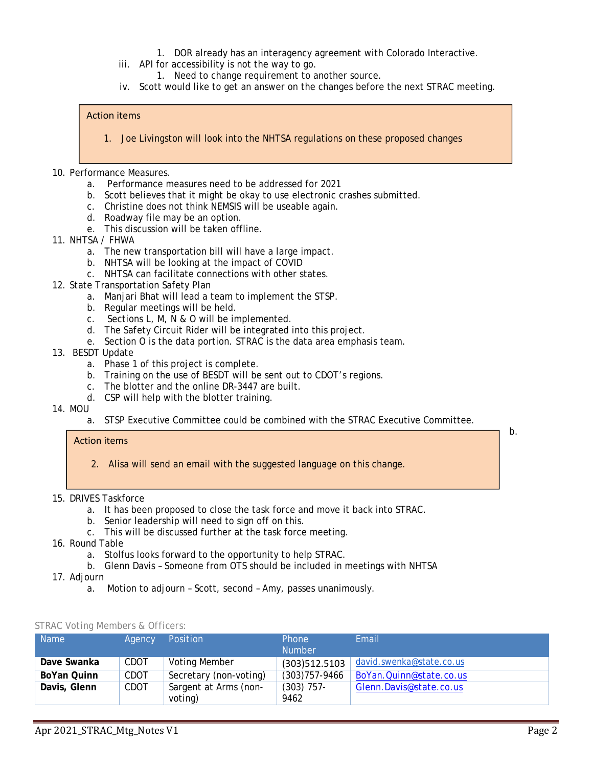- 1. DOR already has an interagency agreement with Colorado Interactive.
- iii. API for accessibility is not the way to go.
	- 1. Need to change requirement to another source.
- iv. Scott would like to get an answer on the changes before the next STRAC meeting.

#### Action items

- 1. Joe Livingston will look into the NHTSA regulations on these proposed changes
- 10. Performance Measures.
	- a. Performance measures need to be addressed for 2021
	- b. Scott believes that it might be okay to use electronic crashes submitted.
	- c. Christine does not think NEMSIS will be useable again.
	- d. Roadway file may be an option.
	- e. This discussion will be taken offline.
- 11. NHTSA / FHWA
	- a. The new transportation bill will have a large impact.
	- b. NHTSA will be looking at the impact of COVID
	- c. NHTSA can facilitate connections with other states.
- 12. State Transportation Safety Plan
	- a. Manjari Bhat will lead a team to implement the STSP.
	- b. Regular meetings will be held.
	- c. Sections L, M, N & O will be implemented.
	- d. The Safety Circuit Rider will be integrated into this project.
	- e. Section O is the data portion. STRAC is the data area emphasis team.

### 13. BESDT Update

- a. Phase 1 of this project is complete.
- b. Training on the use of BESDT will be sent out to CDOT's regions.
- c. The blotter and the online DR-3447 are built.
- d. CSP will help with the blotter training.
- 14. MOU
	- a. STSP Executive Committee could be combined with the STRAC Executive Committee.

#### Action items

- 2. Alisa will send an email with the suggested language on this change.
- 15. DRIVES Taskforce
	- a. It has been proposed to close the task force and move it back into STRAC.
	- b. Senior leadership will need to sign off on this.
	- c. This will be discussed further at the task force meeting.
- 16. Round Table
	- a. Stolfus looks forward to the opportunity to help STRAC.
	- b. Glenn Davis Someone from OTS should be included in meetings with NHTSA
- 17. Adjourn
	- a. Motion to adjourn Scott, second Amy, passes unanimously.

| <b>STRAC Voting Members &amp; Officers:</b> |  |  |  |
|---------------------------------------------|--|--|--|
|---------------------------------------------|--|--|--|

| <b>Name</b>  | Agency | Position               | <b>Phone</b><br><b>Number</b> | Email                    |
|--------------|--------|------------------------|-------------------------------|--------------------------|
| Dave Swanka  | CDOT   | <b>Voting Member</b>   | (303)512.5103                 | david.swenka@state.co.us |
| BoYan Quinn  | CDOT   | Secretary (non-voting) | $(303)757 - 9466$             | BoYan.Quinn@state.co.us  |
| Davis, Glenn | CDOT   | Sargent at Arms (non-  | $(303)$ 757-                  | Glenn.Davis@state.co.us  |
|              |        | voting)                | 9462                          |                          |

b.